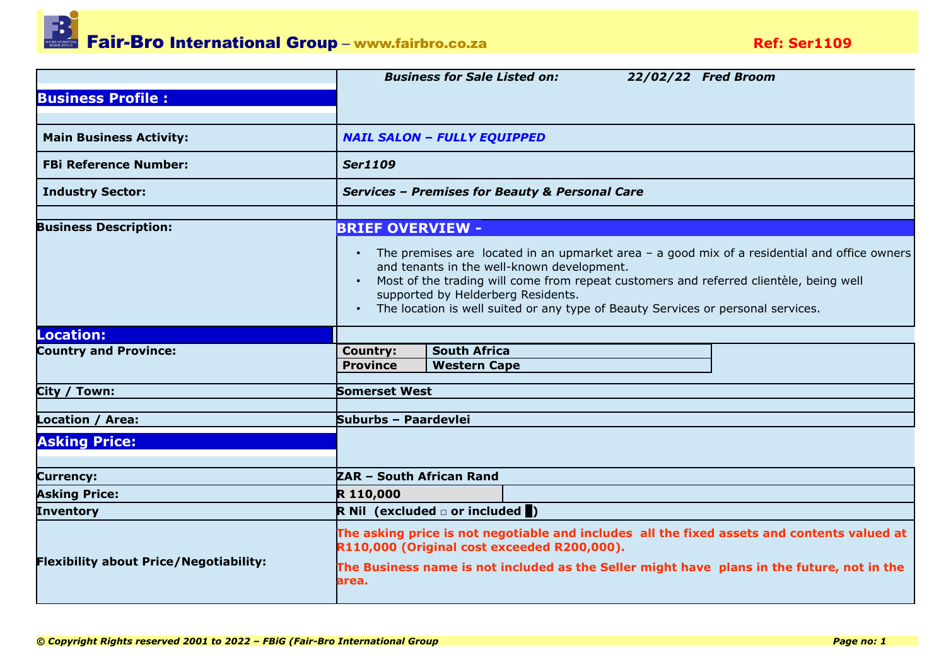Fair-Bro International Group – www.fairbro.co.za<br> **Pair-Bro International Group** – www.fairbro.co.za

|                                               | <b>Business for Sale Listed on:</b><br>22/02/22 Fred Broom                                                                                                                                                                                                                                                                                                                                 |  |  |  |  |  |  |
|-----------------------------------------------|--------------------------------------------------------------------------------------------------------------------------------------------------------------------------------------------------------------------------------------------------------------------------------------------------------------------------------------------------------------------------------------------|--|--|--|--|--|--|
| <b>Business Profile:</b>                      |                                                                                                                                                                                                                                                                                                                                                                                            |  |  |  |  |  |  |
|                                               |                                                                                                                                                                                                                                                                                                                                                                                            |  |  |  |  |  |  |
| <b>Main Business Activity:</b>                | <b>NAIL SALON - FULLY EQUIPPED</b>                                                                                                                                                                                                                                                                                                                                                         |  |  |  |  |  |  |
| <b>FBi Reference Number:</b>                  | <b>Ser1109</b>                                                                                                                                                                                                                                                                                                                                                                             |  |  |  |  |  |  |
| <b>Industry Sector:</b>                       | <b>Services - Premises for Beauty &amp; Personal Care</b>                                                                                                                                                                                                                                                                                                                                  |  |  |  |  |  |  |
|                                               |                                                                                                                                                                                                                                                                                                                                                                                            |  |  |  |  |  |  |
| <b>Business Description:</b>                  | <b>BRIEF OVERVIEW -</b>                                                                                                                                                                                                                                                                                                                                                                    |  |  |  |  |  |  |
|                                               | The premises are located in an upmarket area $-$ a good mix of a residential and office owners<br>$\bullet$<br>and tenants in the well-known development.<br>Most of the trading will come from repeat customers and referred clientèle, being well<br>supported by Helderberg Residents.<br>The location is well suited or any type of Beauty Services or personal services.<br>$\bullet$ |  |  |  |  |  |  |
| Location:                                     |                                                                                                                                                                                                                                                                                                                                                                                            |  |  |  |  |  |  |
| <b>Country and Province:</b>                  | <b>South Africa</b><br><b>Country:</b>                                                                                                                                                                                                                                                                                                                                                     |  |  |  |  |  |  |
|                                               | <b>Western Cape</b><br><b>Province</b>                                                                                                                                                                                                                                                                                                                                                     |  |  |  |  |  |  |
| City / Town:                                  | <b>Somerset West</b>                                                                                                                                                                                                                                                                                                                                                                       |  |  |  |  |  |  |
|                                               |                                                                                                                                                                                                                                                                                                                                                                                            |  |  |  |  |  |  |
| Location / Area:                              | Suburbs - Paardevlei                                                                                                                                                                                                                                                                                                                                                                       |  |  |  |  |  |  |
| <b>Asking Price:</b>                          |                                                                                                                                                                                                                                                                                                                                                                                            |  |  |  |  |  |  |
| <b>Currency:</b>                              | ZAR - South African Rand                                                                                                                                                                                                                                                                                                                                                                   |  |  |  |  |  |  |
| <b>Asking Price:</b>                          | R 110,000                                                                                                                                                                                                                                                                                                                                                                                  |  |  |  |  |  |  |
| <b>Inventory</b>                              | R Nil (excluded $\Box$ or included $\Box$ )                                                                                                                                                                                                                                                                                                                                                |  |  |  |  |  |  |
| <b>Flexibility about Price/Negotiability:</b> | The asking price is not negotiable and includes all the fixed assets and contents valued at<br>R110,000 (Original cost exceeded R200,000).<br>The Business name is not included as the Seller might have plans in the future, not in the                                                                                                                                                   |  |  |  |  |  |  |
|                                               | area.                                                                                                                                                                                                                                                                                                                                                                                      |  |  |  |  |  |  |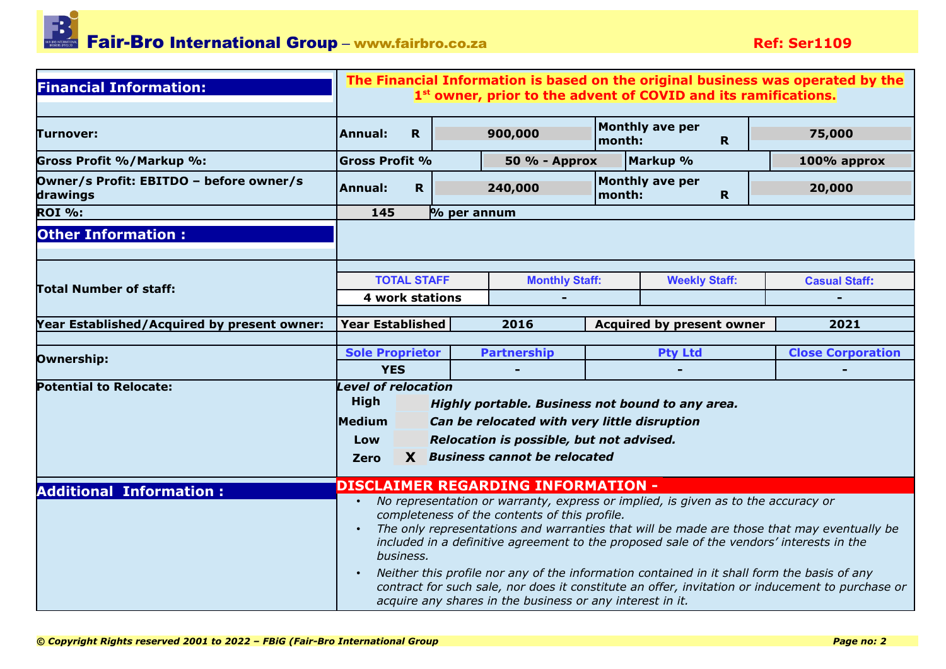

| <b>Financial Information:</b>                       | The Financial Information is based on the original business was operated by the<br>1 <sup>st</sup> owner, prior to the advent of COVID and its ramifications.                                                                                                                                                                                                                                                                                                                                                                                                                                                                       |             |  |                                           |        |                                  |             |                          |
|-----------------------------------------------------|-------------------------------------------------------------------------------------------------------------------------------------------------------------------------------------------------------------------------------------------------------------------------------------------------------------------------------------------------------------------------------------------------------------------------------------------------------------------------------------------------------------------------------------------------------------------------------------------------------------------------------------|-------------|--|-------------------------------------------|--------|----------------------------------|-------------|--------------------------|
| Turnover:                                           | <b>Annual:</b>                                                                                                                                                                                                                                                                                                                                                                                                                                                                                                                                                                                                                      | $\mathbf R$ |  | 900,000                                   | month: | <b>Monthly ave per</b>           | $\mathbf R$ | 75,000                   |
| Gross Profit %/Markup %:                            | <b>Gross Profit %</b>                                                                                                                                                                                                                                                                                                                                                                                                                                                                                                                                                                                                               |             |  | 50 % - Approx                             |        | Markup %                         |             | 100% approx              |
| Owner/s Profit: EBITDO - before owner/s<br>drawings | <b>Annual:</b>                                                                                                                                                                                                                                                                                                                                                                                                                                                                                                                                                                                                                      | R           |  | 240,000                                   | month: | Monthly ave per                  | $\mathbf R$ | 20,000                   |
| <b>ROI %:</b>                                       | 145<br>$\%$ per annum                                                                                                                                                                                                                                                                                                                                                                                                                                                                                                                                                                                                               |             |  |                                           |        |                                  |             |                          |
| <b>Other Information:</b>                           |                                                                                                                                                                                                                                                                                                                                                                                                                                                                                                                                                                                                                                     |             |  |                                           |        |                                  |             |                          |
|                                                     |                                                                                                                                                                                                                                                                                                                                                                                                                                                                                                                                                                                                                                     |             |  |                                           |        |                                  |             |                          |
|                                                     | <b>TOTAL STAFF</b>                                                                                                                                                                                                                                                                                                                                                                                                                                                                                                                                                                                                                  |             |  | <b>Monthly Staff:</b>                     |        | <b>Weekly Staff:</b>             |             | <b>Casual Staff:</b>     |
| <b>Total Number of staff:</b>                       | <b>4 work stations</b>                                                                                                                                                                                                                                                                                                                                                                                                                                                                                                                                                                                                              |             |  |                                           |        |                                  |             |                          |
|                                                     |                                                                                                                                                                                                                                                                                                                                                                                                                                                                                                                                                                                                                                     |             |  |                                           |        |                                  |             |                          |
| Year Established/Acquired by present owner:         | <b>Year Established</b>                                                                                                                                                                                                                                                                                                                                                                                                                                                                                                                                                                                                             |             |  | 2016                                      |        | <b>Acquired by present owner</b> |             | 2021                     |
| Ownership:                                          | <b>Sole Proprietor</b>                                                                                                                                                                                                                                                                                                                                                                                                                                                                                                                                                                                                              |             |  | <b>Partnership</b>                        |        | <b>Pty Ltd</b>                   |             | <b>Close Corporation</b> |
|                                                     | <b>YES</b>                                                                                                                                                                                                                                                                                                                                                                                                                                                                                                                                                                                                                          |             |  |                                           |        |                                  |             |                          |
| <b>Potential to Relocate:</b>                       | <b>Level of relocation</b><br><b>High</b><br>Highly portable. Business not bound to any area.                                                                                                                                                                                                                                                                                                                                                                                                                                                                                                                                       |             |  |                                           |        |                                  |             |                          |
|                                                     | Medium<br>Can be relocated with very little disruption                                                                                                                                                                                                                                                                                                                                                                                                                                                                                                                                                                              |             |  |                                           |        |                                  |             |                          |
|                                                     | Relocation is possible, but not advised.<br>Low                                                                                                                                                                                                                                                                                                                                                                                                                                                                                                                                                                                     |             |  |                                           |        |                                  |             |                          |
|                                                     | Zero                                                                                                                                                                                                                                                                                                                                                                                                                                                                                                                                                                                                                                |             |  | X Business cannot be relocated            |        |                                  |             |                          |
| <b>Additional Information:</b>                      |                                                                                                                                                                                                                                                                                                                                                                                                                                                                                                                                                                                                                                     |             |  | <b>DISCLAIMER REGARDING INFORMATION -</b> |        |                                  |             |                          |
|                                                     | No representation or warranty, express or implied, is given as to the accuracy or<br>completeness of the contents of this profile.<br>The only representations and warranties that will be made are those that may eventually be<br>$\bullet$<br>included in a definitive agreement to the proposed sale of the vendors' interests in the<br>business.<br>Neither this profile nor any of the information contained in it shall form the basis of any<br>$\bullet$<br>contract for such sale, nor does it constitute an offer, invitation or inducement to purchase or<br>acquire any shares in the business or any interest in it. |             |  |                                           |        |                                  |             |                          |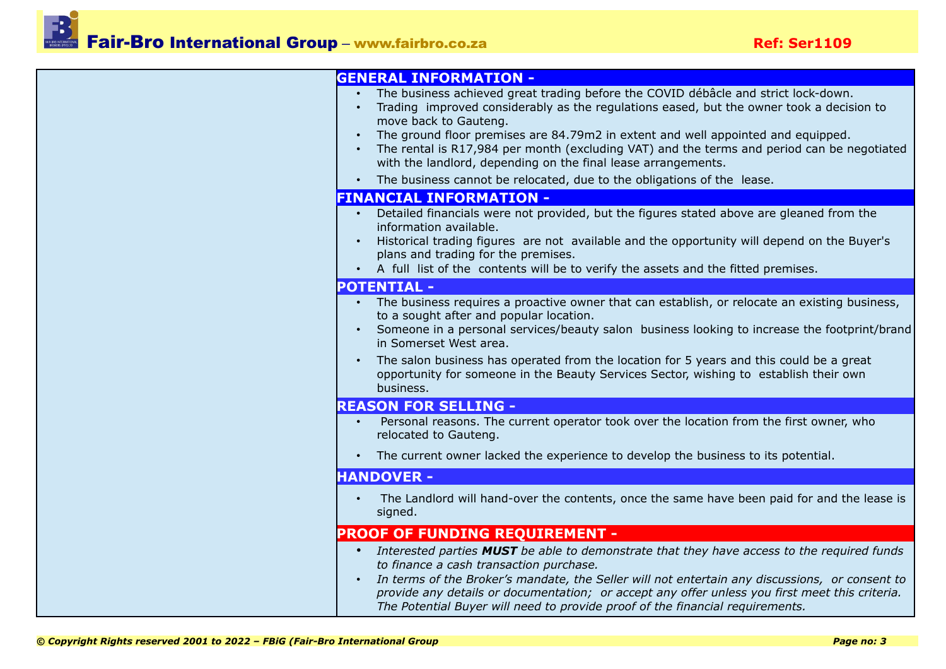| <b>GENERAL INFORMATION -</b>                                                                                                                                                                                                                                                                                                                                                                                                                                                                                                           |
|----------------------------------------------------------------------------------------------------------------------------------------------------------------------------------------------------------------------------------------------------------------------------------------------------------------------------------------------------------------------------------------------------------------------------------------------------------------------------------------------------------------------------------------|
| The business achieved great trading before the COVID débâcle and strict lock-down.<br>Trading improved considerably as the regulations eased, but the owner took a decision to<br>move back to Gauteng.<br>The ground floor premises are 84.79m2 in extent and well appointed and equipped.<br>• The rental is R17,984 per month (excluding VAT) and the terms and period can be negotiated<br>with the landlord, depending on the final lease arrangements.<br>The business cannot be relocated, due to the obligations of the lease. |
| <b>FINANCIAL INFORMATION -</b>                                                                                                                                                                                                                                                                                                                                                                                                                                                                                                         |
| Detailed financials were not provided, but the figures stated above are gleaned from the<br>information available.<br>Historical trading figures are not available and the opportunity will depend on the Buyer's<br>$\bullet$<br>plans and trading for the premises.<br>• A full list of the contents will be to verify the assets and the fitted premises.                                                                                                                                                                           |
| <b>POTENTIAL -</b>                                                                                                                                                                                                                                                                                                                                                                                                                                                                                                                     |
| The business requires a proactive owner that can establish, or relocate an existing business,<br>$\bullet$ .<br>to a sought after and popular location.<br>Someone in a personal services/beauty salon business looking to increase the footprint/brand<br>$\bullet$<br>in Somerset West area.<br>The salon business has operated from the location for 5 years and this could be a great<br>opportunity for someone in the Beauty Services Sector, wishing to establish their own<br>business.                                        |
| <b>REASON FOR SELLING -</b>                                                                                                                                                                                                                                                                                                                                                                                                                                                                                                            |
| Personal reasons. The current operator took over the location from the first owner, who<br>relocated to Gauteng.<br>• The current owner lacked the experience to develop the business to its potential.                                                                                                                                                                                                                                                                                                                                |
| <b>HANDOVER -</b>                                                                                                                                                                                                                                                                                                                                                                                                                                                                                                                      |
| The Landlord will hand-over the contents, once the same have been paid for and the lease is<br>signed.                                                                                                                                                                                                                                                                                                                                                                                                                                 |
| <b>PROOF OF FUNDING REQUIREMENT -</b>                                                                                                                                                                                                                                                                                                                                                                                                                                                                                                  |
| • Interested parties MUST be able to demonstrate that they have access to the required funds<br>to finance a cash transaction purchase.<br>In terms of the Broker's mandate, the Seller will not entertain any discussions, or consent to<br>$\bullet$<br>provide any details or documentation; or accept any offer unless you first meet this criteria.<br>The Potential Buyer will need to provide proof of the financial requirements.                                                                                              |